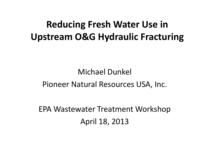#### **Reducing Fresh Water Use in Upstream O&G Hydraulic Fracturing**

#### Michael Dunkel Pioneer Natural Resources USA, Inc.

EPA Wastewater Treatment Workshop April 18, 2013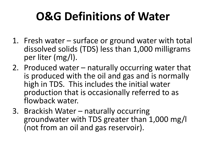# **O&G Definitions of Water**

- 1. Fresh water surface or ground water with total dissolved solids (TDS) less than 1,000 milligrams per liter (mg/l).
- 2. Produced water naturally occurring water that is produced with the oil and gas and is normally high in TDS. This includes the initial water production that is occasionally referred to as flowback water.
- 3. Brackish Water naturally occurring groundwater with TDS greater than 1,000 mg/l (not from an oil and gas reservoir).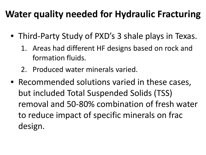### **Water quality needed for Hydraulic Fracturing**

- Third-Party Study of PXD's 3 shale plays in Texas.
	- 1. Areas had different HF designs based on rock and formation fluids.
	- 2. Produced water minerals varied.
- Recommended solutions varied in these cases, but included Total Suspended Solids (TSS) removal and 50-80% combination of fresh water to reduce impact of specific minerals on frac design.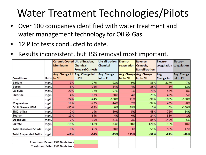## Water Treatment Technologies/Pilots

- Over 100 companies identified with water treatment and water management technology for Oil & Gas.
- 12 Pilot tests conducted to date.
- Results inconsistent, but TSS removal most important.

|                                        |      | Ceramic Coated Ultrafiltration, |                                 | Ultrafiltration, | Electro-               | <b>Reverse</b>          | Electro-          | Electro-                |
|----------------------------------------|------|---------------------------------|---------------------------------|------------------|------------------------|-------------------------|-------------------|-------------------------|
|                                        |      | <b>Membrane</b>                 | Chemical,                       | Chemical         | coagulation   Osmosis, |                         |                   | coagulation coagulation |
|                                        |      |                                 | <b>Forward Osmosis</b>          |                  |                        | <b>Nanofiltration</b>   |                   |                         |
|                                        |      |                                 | Avg. Change Inf Avg. Change Inf | Avg. Change      |                        | Avg. Change Avg. Change | Avg.              | Avg. Change             |
| Constituent                            |      | Units to Eff                    | to Eff                          | Inf to Eff       | Inf to Eff             | Inf to Eff              | <b>Change Inf</b> | Inf to Eff              |
| Barium                                 | mg/L | 9%                              | $-27%$                          | $-92%$           | $-9%$                  | $-86%$                  | 217%              | $-7%$                   |
| Boron                                  | mg/L | 8%                              | $-15%$                          | $-54%$           | $-4%$                  | $-25%$                  | 3%                | $-12%$                  |
| Calcium                                | mg/L | 20%                             | $-12%$                          | $-97%$           | 1%                     | $-79%$                  | 58%               | $-8%$                   |
| Chloride                               | mg/L | $-4%$                           | 63%                             | $-38%$           | $-4%$                  | $-28%$                  | 42%               | $-5%$                   |
| Iron                                   | mg/L | $-24%$                          | $-44%$                          | $-100%$          | 71%                    | $-98%$                  | $-100%$           | $-100%$                 |
| Magnesium                              | mg/L | 18%                             | $-22%$                          | $-44%$           | 2%                     | $-92%$                  | 45%               | $-8%$                   |
| Oil & Grease HEM                       | mg/L | $-87%$                          | $-83%$                          | 0%               | 48%                    | 0%                      | 0%                | $-100%$                 |
| SiO2, Silica                           | mg/L | 2%                              | $-19%$                          | $-80%$           | -5%                    | $-45%$                  | $-72%$            | $-84%$                  |
| Sodium                                 | mg/L | 19%                             | 64%                             | $-4%$            | 0%                     | $-24%$                  | 38%               | $-1%$                   |
| Strontium                              | mg/L | 2%                              | $-15%$                          | $-81%$           | 3%                     | $-85%$                  | 140%              | $-5%$                   |
| Sulfate                                | mg/L | $-15%$                          | 148%                            | 33%              | $-30%$                 | 426%                    | $-10%$            | $-18%$                  |
| <b>Total Dissolved Solids</b>          | mg/L | 0%                              | 46%                             | $-28%$           | $-3%$                  | $-51%$                  | 58%               | 17%                     |
| <b>Total Suspended Solids</b>          | mg/L | $-48%$                          | $-44%$                          | -93%             | 113%                   | $-98%$                  | $-81%$            | $-49%$                  |
|                                        |      |                                 |                                 |                  |                        |                         |                   |                         |
| <b>Treatment Passed PXD Guidelines</b> |      |                                 |                                 |                  |                        |                         |                   |                         |
| <b>Treatment Failed PXD Guidelines</b> |      |                                 |                                 |                  |                        |                         |                   |                         |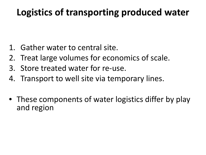### **Logistics of transporting produced water**

- 1. Gather water to central site.
- 2. Treat large volumes for economics of scale.
- 3. Store treated water for re-use.
- 4. Transport to well site via temporary lines.
- These components of water logistics differ by play and region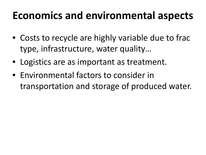### **Economics and environmental aspects**

- Costs to recycle are highly variable due to frac type, infrastructure, water quality…
- Logistics are as important as treatment.
- Environmental factors to consider in transportation and storage of produced water.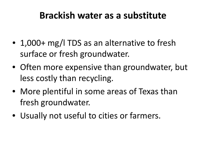#### **Brackish water as a substitute**

- 1,000+ mg/l TDS as an alternative to fresh surface or fresh groundwater.
- Often more expensive than groundwater, but less costly than recycling.
- More plentiful in some areas of Texas than fresh groundwater.
- Usually not useful to cities or farmers.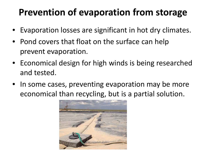### **Prevention of evaporation from storage**

- Evaporation losses are significant in hot dry climates.
- Pond covers that float on the surface can help prevent evaporation.
- Economical design for high winds is being researched and tested.
- In some cases, preventing evaporation may be more economical than recycling, but is a partial solution.